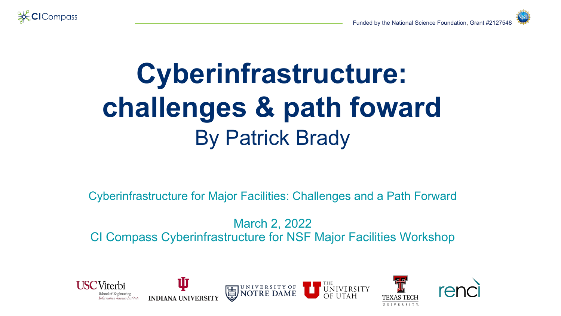

## **Cyberinfrastructure: challenges & path foward** By Patrick Brady

Cyberinfrastructure for Major Facilities: Challenges and a Path Forward

March 2, 2022 CI Compass Cyberinfrastructure for NSF Major Facilities Workshop

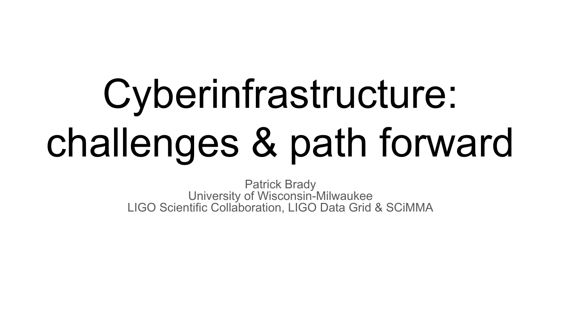# Cyberinfrastructure: challenges & path forward

Patrick Brady University of Wisconsin-Milwaukee LIGO Scientific Collaboration, LIGO Data Grid & SCiMMA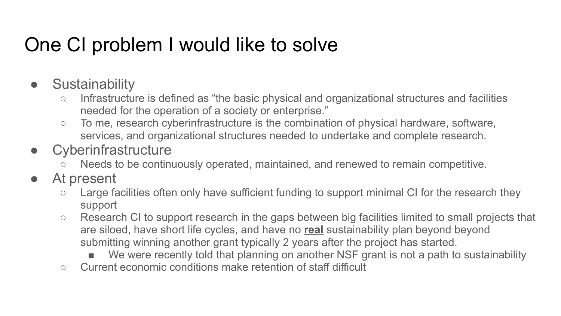#### One CI problem I would like to solve

- Sustainability
	- Infrastructure is defined as "the basic physical and organizational structures and facilities needed for the operation of a society or enterprise."
	- To me, research cyberinfrastructure is the combination of physical hardware, software, services, and organizational structures needed to undertake and complete research.
- Cyberinfrastructure
	- Needs to be continuously operated, maintained, and renewed to remain competitive.
- At present
	- Large facilities often only have sufficient funding to support minimal CI for the research they support
	- Research CI to support research in the gaps between big facilities limited to small projects that are siloed, have short life cycles, and have no **real** sustainability plan beyond beyond submitting winning another grant typically 2 years after the project has started.
		- We were recently told that planning on another NSF grant is not a path to sustainability
	- Current economic conditions make retention of staff difficult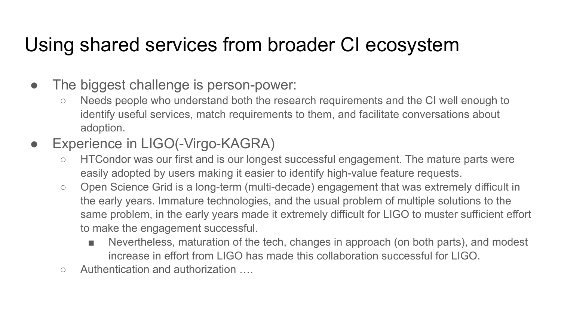#### Using shared services from broader CI ecosystem

- The biggest challenge is person-power:
	- Needs people who understand both the research requirements and the CI well enough to identify useful services, match requirements to them, and facilitate conversations about adoption.
- Experience in LIGO(-Virgo-KAGRA)
	- HTCondor was our first and is our longest successful engagement. The mature parts were easily adopted by users making it easier to identify high-value feature requests.
	- Open Science Grid is a long-term (multi-decade) engagement that was extremely difficult in the early years. Immature technologies, and the usual problem of multiple solutions to the same problem, in the early years made it extremely difficult for LIGO to muster sufficient effort to make the engagement successful.
		- Nevertheless, maturation of the tech, changes in approach (on both parts), and modest increase in effort from LIGO has made this collaboration successful for LIGO.
	- Authentication and authorization ….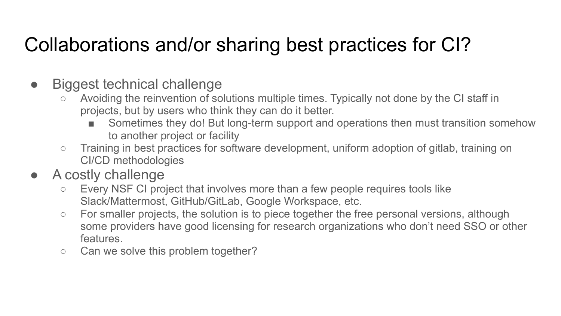## Collaborations and/or sharing best practices for CI?

- Biggest technical challenge
	- Avoiding the reinvention of solutions multiple times. Typically not done by the CI staff in projects, but by users who think they can do it better.
		- Sometimes they do! But long-term support and operations then must transition somehow to another project or facility
	- Training in best practices for software development, uniform adoption of gitlab, training on CI/CD methodologies
- A costly challenge
	- Every NSF CI project that involves more than a few people requires tools like Slack/Mattermost, GitHub/GitLab, Google Workspace, etc.
	- For smaller projects, the solution is to piece together the free personal versions, although some providers have good licensing for research organizations who don't need SSO or other features.
	- Can we solve this problem together?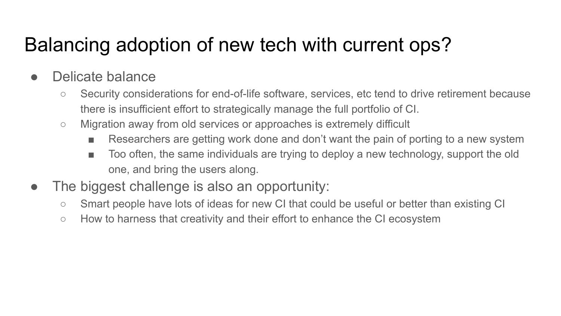## Balancing adoption of new tech with current ops?

- Delicate balance
	- Security considerations for end-of-life software, services, etc tend to drive retirement because there is insufficient effort to strategically manage the full portfolio of CI.
	- Migration away from old services or approaches is extremely difficult
		- Researchers are getting work done and don't want the pain of porting to a new system
		- Too often, the same individuals are trying to deploy a new technology, support the old one, and bring the users along.
- The biggest challenge is also an opportunity:
	- Smart people have lots of ideas for new CI that could be useful or better than existing CI
	- How to harness that creativity and their effort to enhance the CI ecosystem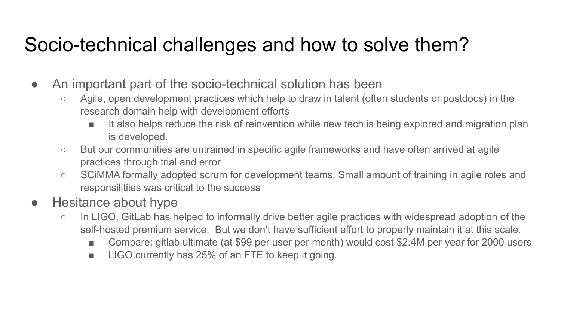#### Socio-technical challenges and how to solve them?

- An important part of the socio-technical solution has been
	- Agile, open development practices which help to draw in talent (often students or postdocs) in the research domain help with development efforts
		- It also helps reduce the risk of reinvention while new tech is being explored and migration plan is developed.
	- But our communities are untrained in specific agile frameworks and have often arrived at agile practices through trial and error
	- SCiMMA formally adopted scrum for development teams. Small amount of training in agile roles and responsilitiies was critical to the success

#### ● Hesitance about hype

- In LIGO, GitLab has helped to informally drive better agile practices with widespread adoption of the self-hosted premium service. But we don't have sufficient effort to properly maintain it at this scale.
	- Compare: gitlab ultimate (at \$99 per user per month) would cost \$2.4M per year for 2000 users
	- LIGO currently has 25% of an FTE to keep it going.